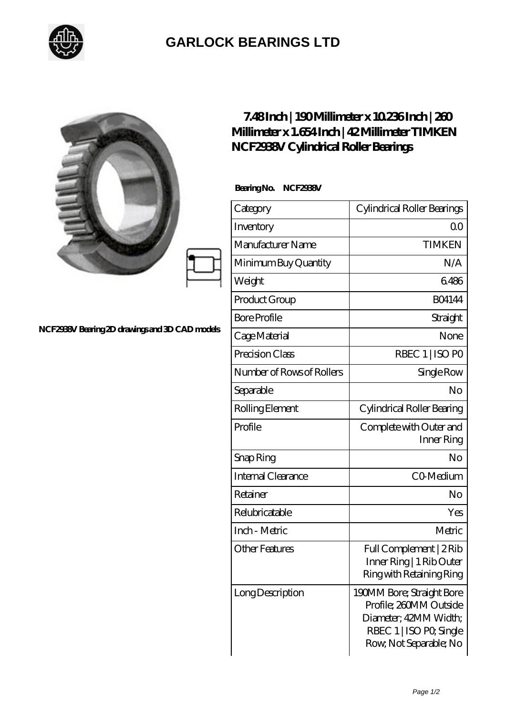

## **[GARLOCK BEARINGS LTD](https://m.letterstopriests.com)**

|                                                | 7.48Inch   190Millimeter x 10236Inch   280<br>Millimeter x 1.654 Inch   42 Millimeter TIMKEN<br>NCF2938V Cylindrical Roller Bearings |                                                                                                                                   |
|------------------------------------------------|--------------------------------------------------------------------------------------------------------------------------------------|-----------------------------------------------------------------------------------------------------------------------------------|
| NCF2938V Bearing 2D drawings and 3D CAD models | Bearing No. NCF2938V                                                                                                                 |                                                                                                                                   |
|                                                | Category                                                                                                                             | Cylindrical Roller Bearings                                                                                                       |
|                                                | Inventory                                                                                                                            | 0 <sup>0</sup>                                                                                                                    |
|                                                | Manufacturer Name                                                                                                                    | <b>TIMKEN</b>                                                                                                                     |
|                                                | Minimum Buy Quantity                                                                                                                 | N/A                                                                                                                               |
|                                                | Weight                                                                                                                               | 6486                                                                                                                              |
|                                                | Product Group                                                                                                                        | <b>BO4144</b>                                                                                                                     |
|                                                | <b>Bore Profile</b>                                                                                                                  | Straight                                                                                                                          |
|                                                | Cage Material                                                                                                                        | None                                                                                                                              |
|                                                | Precision Class                                                                                                                      | RBEC 1   ISO PO                                                                                                                   |
|                                                | Number of Rows of Rollers                                                                                                            | Single Row                                                                                                                        |
|                                                | Separable                                                                                                                            | N <sub>o</sub>                                                                                                                    |
|                                                | Rolling Element                                                                                                                      | Cylindrical Roller Bearing                                                                                                        |
|                                                | Profile                                                                                                                              | Complete with Outer and<br>Inner Ring                                                                                             |
|                                                | Snap Ring                                                                                                                            | No                                                                                                                                |
|                                                | Internal Clearance                                                                                                                   | CO-Medium                                                                                                                         |
|                                                | Retainer                                                                                                                             | No                                                                                                                                |
|                                                | Relubricatable                                                                                                                       | Yes                                                                                                                               |
|                                                | Inch - Metric                                                                                                                        | Metric                                                                                                                            |
|                                                | <b>Other Features</b>                                                                                                                | Full Complement   2Rib<br>Inner Ring   1 Rib Outer<br>Ring with Retaining Ring                                                    |
|                                                | Long Description                                                                                                                     | 190MM Bore; Straight Bore<br>Profile; 260MM Outside<br>Diameter; 42MM Width;<br>RBEC 1   ISO PO, Single<br>Row, Not Separable; No |